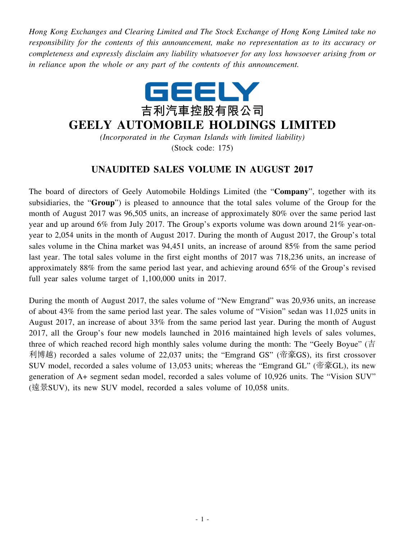*Hong Kong Exchanges and Clearing Limited and The Stock Exchange of Hong Kong Limited take no responsibility for the contents of this announcement, make no representation as to its accuracy or completeness and expressly disclaim any liability whatsoever for any loss howsoever arising from or in reliance upon the whole or any part of the contents of this announcement.*



## **GEELY AUTOMOBILE HOLDINGS LIMITED**

*(Incorporated in the Cayman Islands with limited liability)* (Stock code: 175)

## **UNAUDITED SALES VOLUME IN AUGUST 2017**

The board of directors of Geely Automobile Holdings Limited (the "**Company**", together with its subsidiaries, the "**Group**") is pleased to announce that the total sales volume of the Group for the month of August 2017 was 96,505 units, an increase of approximately 80% over the same period last year and up around 6% from July 2017. The Group's exports volume was down around 21% year-onyear to 2,054 units in the month of August 2017. During the month of August 2017, the Group's total sales volume in the China market was 94,451 units, an increase of around 85% from the same period last year. The total sales volume in the first eight months of 2017 was 718,236 units, an increase of approximately 88% from the same period last year, and achieving around 65% of the Group's revised full year sales volume target of 1,100,000 units in 2017.

During the month of August 2017, the sales volume of "New Emgrand" was 20,936 units, an increase of about 43% from the same period last year. The sales volume of "Vision" sedan was 11,025 units in August 2017, an increase of about 33% from the same period last year. During the month of August 2017, all the Group's four new models launched in 2016 maintained high levels of sales volumes, three of which reached record high monthly sales volume during the month: The "Geely Boyue" (吉 利博越) recorded a sales volume of 22,037 units; the "Emgrand GS" (帝豪GS), its first crossover SUV model, recorded a sales volume of 13,053 units; whereas the "Emgrand GL" (帝豪GL), its new generation of A+ segment sedan model, recorded a sales volume of 10,926 units. The "Vision SUV" (遠景SUV), its new SUV model, recorded a sales volume of 10,058 units.